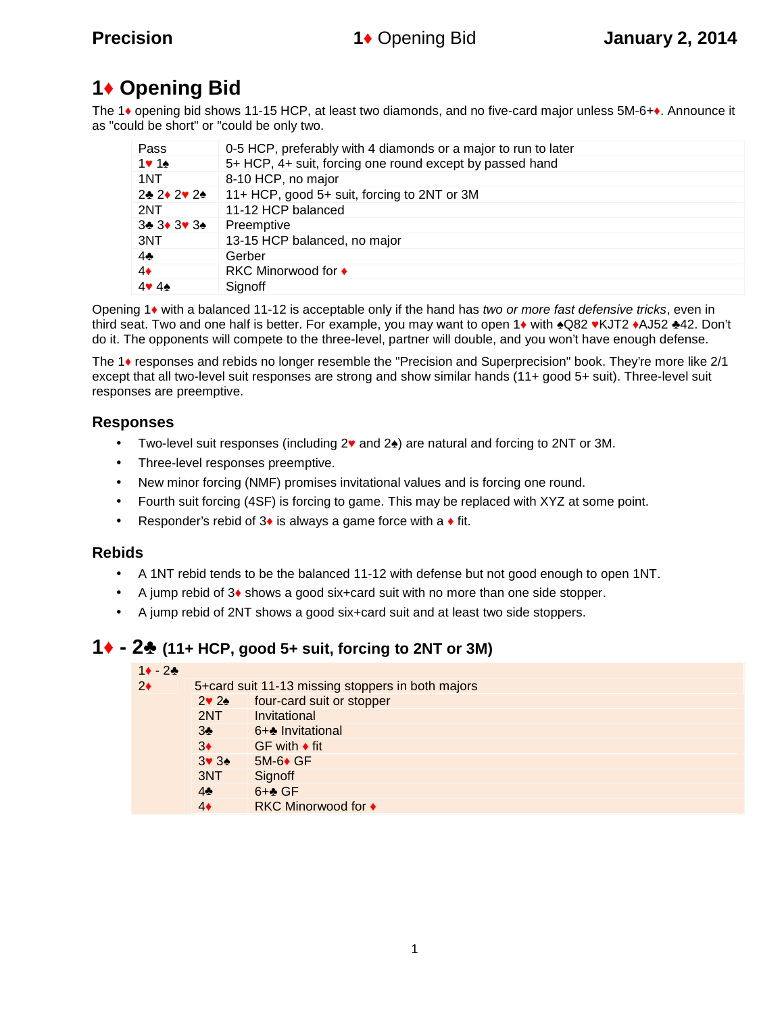## **1 Opening Bid**

The 1 opening bid shows 11-15 HCP, at least two diamonds, and no five-card major unless 5M-6+ . Announce it as "could be short" or "could be only two.

| Pass        | 0-5 HCP, preferably with 4 diamonds or a major to run to later |
|-------------|----------------------------------------------------------------|
| $1 \quad 1$ | 5+ HCP, 4+ suit, forcing one round except by passed hand       |
| 1NT         | 8-10 HCP, no major                                             |
| 2 2 2 2     | 11+ HCP, good 5+ suit, forcing to 2NT or 3M                    |
| 2NT         | 11-12 HCP balanced                                             |
| 3 3 3 3     | Preemptive                                                     |
| 3NT         | 13-15 HCP balanced, no major                                   |
| 4           | Gerber                                                         |
| 4           | <b>RKC Minorwood for</b>                                       |
| 44          | Signoff                                                        |

Opening 1 with a balanced 11-12 is acceptable only if the hand has *two or more fast defensive tricks*, even in third seat. Two and one half is better. For example, you may want to open 1 with Q82 KJT2 AJ52 42. Don't do it. The opponents will compete to the three-level, partner will double, and you won't have enough defense.

The 1 responses and rebids no longer resemble the "Precision and Superprecision" book. They're more like 2/1 except that all two-level suit responses are strong and show similar hands (11+ good 5+ suit). Three-level suit responses are preemptive.

### **Responses**

- Two-level suit responses (including 2 and 2 ) are natural and forcing to 2NT or 3M.
- Three-level responses preemptive.
- New minor forcing (NMF) promises invitational values and is forcing one round.
- Fourth suit forcing (4SF) is forcing to game. This may be replaced with XYZ at some point.
- Responder's rebid of 3 is always a game force with a fit.

### **Rebids**

- A 1NT rebid tends to be the balanced 11-12 with defense but not good enough to open 1NT.
- A jump rebid of 3 shows a good six+card suit with no more than one side stopper.
- A jump rebid of 2NT shows a good six+card suit and at least two side stoppers.

### **1 - 2♣ (11+ HCP, good 5+ suit, forcing to 2NT or 3M)**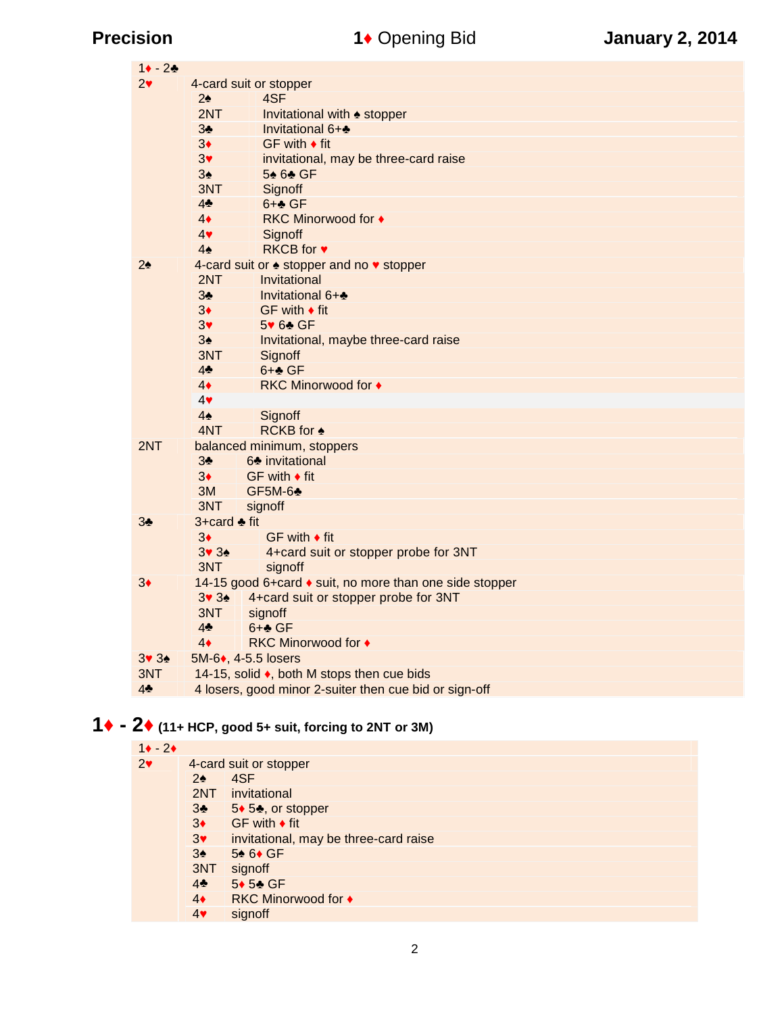| $-2$<br>1      |                                                        |                                       |  |  |
|----------------|--------------------------------------------------------|---------------------------------------|--|--|
| $\overline{2}$ | 4-card suit or stopper                                 |                                       |  |  |
|                | 2                                                      | 4SF                                   |  |  |
|                | 2NT                                                    | Invitational with<br>stopper          |  |  |
|                | 3                                                      | Invitational 6+                       |  |  |
|                | 3                                                      | GF with fit                           |  |  |
|                | $\mathbf{3}$                                           | invitational, may be three-card raise |  |  |
|                | 3                                                      | 5 6 GF                                |  |  |
|                | 3NT                                                    | Signoff                               |  |  |
|                | 4                                                      | $6+$ GF                               |  |  |
|                | 4                                                      | <b>RKC Minorwood for</b>              |  |  |
|                | $\overline{4}$                                         | Signoff                               |  |  |
|                | 4                                                      | <b>RKCB</b> for                       |  |  |
| $\overline{2}$ |                                                        | 4-card suit or stopper and no stopper |  |  |
|                | 2NT                                                    | Invitational                          |  |  |
|                | 3                                                      | Invitational 6+                       |  |  |
|                | 3                                                      | GF with fit                           |  |  |
|                | $\ensuremath{\mathsf{3}}$                              | 5 6 GF                                |  |  |
|                | 3                                                      | Invitational, maybe three-card raise  |  |  |
|                | 3NT                                                    | Signoff                               |  |  |
|                | $\overline{4}$                                         | $6+$ GF                               |  |  |
|                | $\overline{4}$                                         | <b>RKC Minorwood for</b>              |  |  |
|                | $\overline{\mathcal{L}}$                               |                                       |  |  |
|                | $\overline{4}$                                         | Signoff                               |  |  |
|                | 4NT                                                    | <b>RCKB</b> for                       |  |  |
| 2NT            |                                                        | balanced minimum, stoppers            |  |  |
|                | 3                                                      | 6 invitational                        |  |  |
|                | 3                                                      | GF with fit                           |  |  |
|                | 3M                                                     | GF5M-6                                |  |  |
|                | 3NT                                                    | signoff                               |  |  |
| 3              | 3+card                                                 | fit                                   |  |  |
|                | 3                                                      | GF with fit                           |  |  |
|                | 3 <sub>3</sub>                                         | 4+card suit or stopper probe for 3NT  |  |  |
|                | 3NT                                                    | signoff                               |  |  |
| 3              | 14-15 good 6+card suit, no more than one side stopper  |                                       |  |  |
|                | 3 <sub>3</sub>                                         | 4+card suit or stopper probe for 3NT  |  |  |
|                | 3NT                                                    | signoff                               |  |  |
|                | $\overline{4}$                                         | 6+ GF                                 |  |  |
|                | 4                                                      | <b>RKC Minorwood for</b>              |  |  |
| 3 <sub>3</sub> | 5M-6, 4-5.5 losers                                     |                                       |  |  |
| 3NT            | 14-15, solid, both M stops then cue bids               |                                       |  |  |
| 4              | 4 losers, good minor 2-suiter then cue bid or sign-off |                                       |  |  |

# **- 2 (11+ HCP, good 5+ suit, forcing to 2NT or 3M)**

| $1 - 2$ |                        |                                       |  |
|---------|------------------------|---------------------------------------|--|
| 2       | 4-card suit or stopper |                                       |  |
|         | 2                      | 4SF                                   |  |
|         | 2NT                    | invitational                          |  |
|         | 3                      | 5 5, or stopper                       |  |
|         | 3                      | GF with fit                           |  |
|         | 3                      | invitational, may be three-card raise |  |
|         | 3                      | 5 6 GF                                |  |
|         | 3NT                    | signoff                               |  |
|         | 4                      | 5 5 GF                                |  |
|         | 4                      | <b>RKC Minorwood for</b>              |  |
|         | 4                      | signoff                               |  |